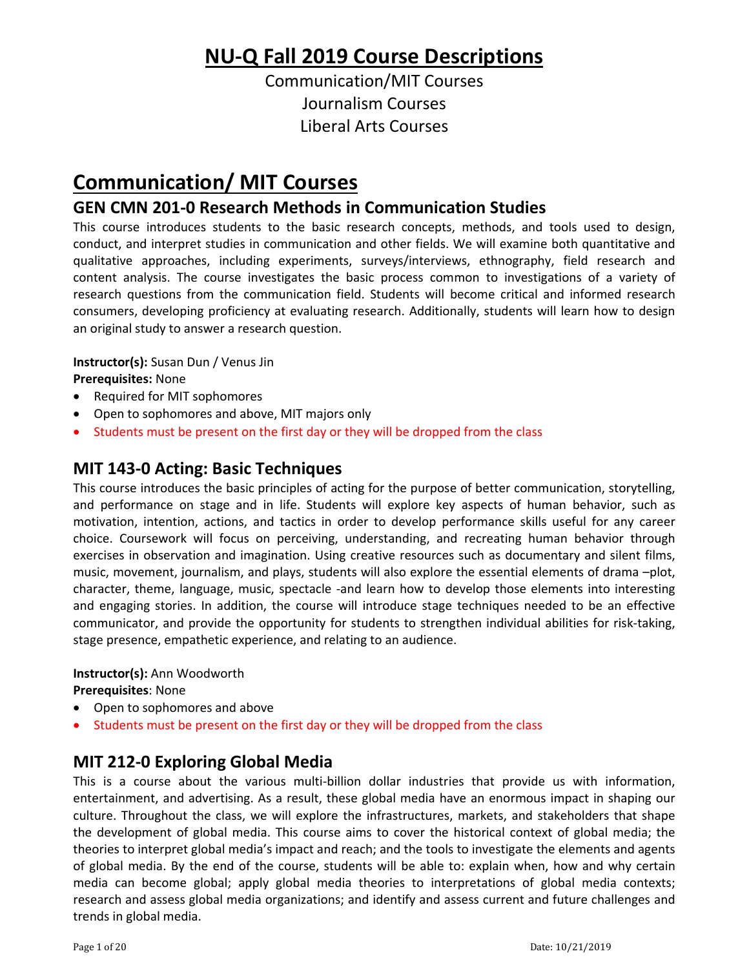# **NU‐Q Fall 2019 Course Descriptions**

Communication/MIT Courses Journalism Courses Liberal Arts Courses

# **Communication/ MIT Courses**

## **GEN CMN 201‐0 Research Methods in Communication Studies**

This course introduces students to the basic research concepts, methods, and tools used to design, conduct, and interpret studies in communication and other fields. We will examine both quantitative and qualitative approaches, including experiments, surveys/interviews, ethnography, field research and content analysis. The course investigates the basic process common to investigations of a variety of research questions from the communication field. Students will become critical and informed research consumers, developing proficiency at evaluating research. Additionally, students will learn how to design an original study to answer a research question.

**Instructor(s):** Susan Dun / Venus Jin

**Prerequisites:** None

- Required for MIT sophomores
- Open to sophomores and above, MIT majors only
- Students must be present on the first day or they will be dropped from the class

## **MIT 143‐0 Acting: Basic Techniques**

This course introduces the basic principles of acting for the purpose of better communication, storytelling, and performance on stage and in life. Students will explore key aspects of human behavior, such as motivation, intention, actions, and tactics in order to develop performance skills useful for any career choice. Coursework will focus on perceiving, understanding, and recreating human behavior through exercises in observation and imagination. Using creative resources such as documentary and silent films, music, movement, journalism, and plays, students will also explore the essential elements of drama –plot, character, theme, language, music, spectacle -and learn how to develop those elements into interesting and engaging stories. In addition, the course will introduce stage techniques needed to be an effective communicator, and provide the opportunity for students to strengthen individual abilities for risk‐taking, stage presence, empathetic experience, and relating to an audience.

#### **Instructor(s):** Ann Woodworth

**Prerequisites**: None

- Open to sophomores and above
- Students must be present on the first day or they will be dropped from the class

## **MIT 212‐0 Exploring Global Media**

This is a course about the various multi-billion dollar industries that provide us with information, entertainment, and advertising. As a result, these global media have an enormous impact in shaping our culture. Throughout the class, we will explore the infrastructures, markets, and stakeholders that shape the development of global media. This course aims to cover the historical context of global media; the theories to interpret global media's impact and reach; and the tools to investigate the elements and agents of global media. By the end of the course, students will be able to: explain when, how and why certain media can become global; apply global media theories to interpretations of global media contexts; research and assess global media organizations; and identify and assess current and future challenges and trends in global media.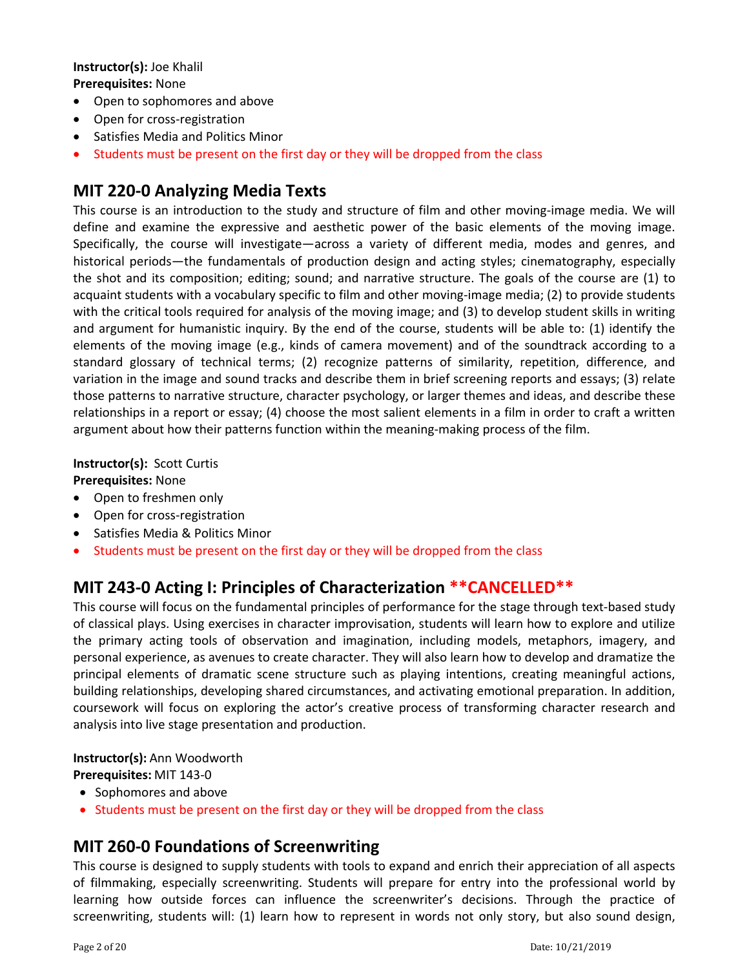#### **Instructor(s):** Joe Khalil **Prerequisites:** None

- Open to sophomores and above
- Open for cross-registration
- Satisfies Media and Politics Minor
- Students must be present on the first day or they will be dropped from the class

## **MIT 220‐0 Analyzing Media Texts**

This course is an introduction to the study and structure of film and other moving-image media. We will define and examine the expressive and aesthetic power of the basic elements of the moving image. Specifically, the course will investigate—across a variety of different media, modes and genres, and historical periods—the fundamentals of production design and acting styles; cinematography, especially the shot and its composition; editing; sound; and narrative structure. The goals of the course are (1) to acquaint students with a vocabulary specific to film and other moving-image media; (2) to provide students with the critical tools required for analysis of the moving image; and (3) to develop student skills in writing and argument for humanistic inquiry. By the end of the course, students will be able to: (1) identify the elements of the moving image (e.g., kinds of camera movement) and of the soundtrack according to a standard glossary of technical terms; (2) recognize patterns of similarity, repetition, difference, and variation in the image and sound tracks and describe them in brief screening reports and essays; (3) relate those patterns to narrative structure, character psychology, or larger themes and ideas, and describe these relationships in a report or essay; (4) choose the most salient elements in a film in order to craft a written argument about how their patterns function within the meaning-making process of the film.

**Instructor(s):** Scott Curtis **Prerequisites:** None

- Open to freshmen only
- Open for cross-registration
- Satisfies Media & Politics Minor
- Students must be present on the first day or they will be dropped from the class

## **MIT 243‐0 Acting I: Principles of Characterization \*\*CANCELLED\*\***

This course will focus on the fundamental principles of performance for the stage through text-based study of classical plays. Using exercises in character improvisation, students will learn how to explore and utilize the primary acting tools of observation and imagination, including models, metaphors, imagery, and personal experience, as avenues to create character. They will also learn how to develop and dramatize the principal elements of dramatic scene structure such as playing intentions, creating meaningful actions, building relationships, developing shared circumstances, and activating emotional preparation. In addition, coursework will focus on exploring the actor's creative process of transforming character research and analysis into live stage presentation and production.

**Instructor(s):** Ann Woodworth

**Prerequisites:** MIT 143‐0

- Sophomores and above
- Students must be present on the first day or they will be dropped from the class

### **MIT 260‐0 Foundations of Screenwriting**

This course is designed to supply students with tools to expand and enrich their appreciation of all aspects of filmmaking, especially screenwriting. Students will prepare for entry into the professional world by learning how outside forces can influence the screenwriter's decisions. Through the practice of screenwriting, students will: (1) learn how to represent in words not only story, but also sound design,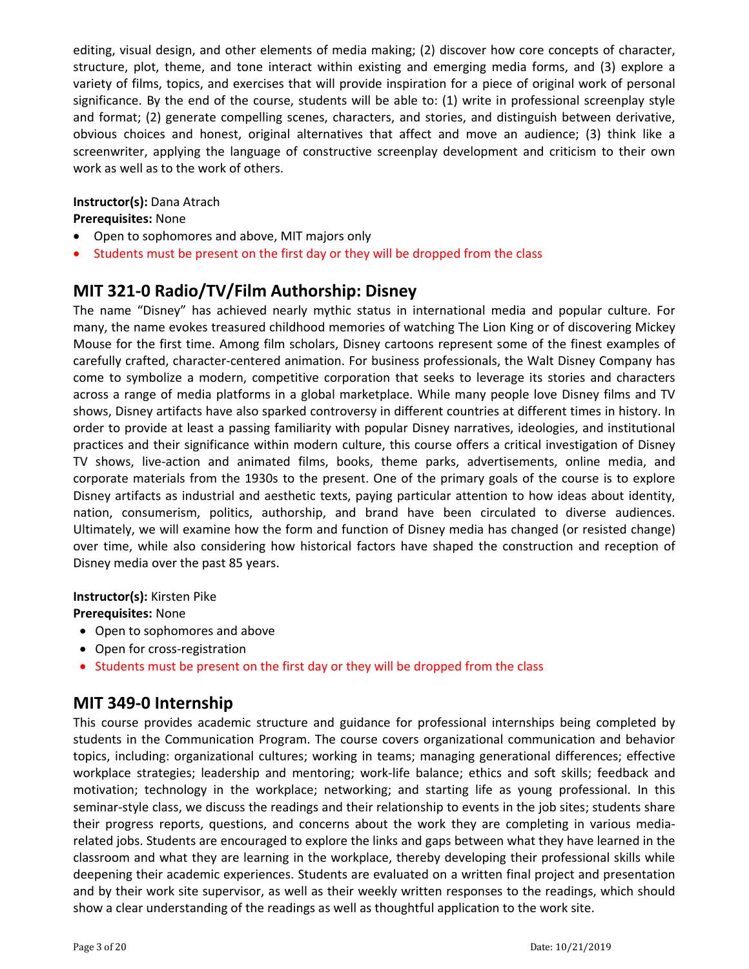editing, visual design, and other elements of media making; (2) discover how core concepts of character, structure, plot, theme, and tone interact within existing and emerging media forms, and (3) explore a variety of films, topics, and exercises that will provide inspiration for a piece of original work of personal significance. By the end of the course, students will be able to: (1) write in professional screenplay style and format; (2) generate compelling scenes, characters, and stories, and distinguish between derivative, obvious choices and honest, original alternatives that affect and move an audience; (3) think like a screenwriter, applying the language of constructive screenplay development and criticism to their own work as well as to the work of others.

#### **Instructor(s):** Dana Atrach

**Prerequisites:** None

- Open to sophomores and above, MIT majors only
- Students must be present on the first day or they will be dropped from the class

## **MIT 321‐0 Radio/TV/Film Authorship: Disney**

The name "Disney" has achieved nearly mythic status in international media and popular culture. For many, the name evokes treasured childhood memories of watching The Lion King or of discovering Mickey Mouse for the first time. Among film scholars, Disney cartoons represent some of the finest examples of carefully crafted, character‐centered animation. For business professionals, the Walt Disney Company has come to symbolize a modern, competitive corporation that seeks to leverage its stories and characters across a range of media platforms in a global marketplace. While many people love Disney films and TV shows, Disney artifacts have also sparked controversy in different countries at different times in history. In order to provide at least a passing familiarity with popular Disney narratives, ideologies, and institutional practices and their significance within modern culture, this course offers a critical investigation of Disney TV shows, live‐action and animated films, books, theme parks, advertisements, online media, and corporate materials from the 1930s to the present. One of the primary goals of the course is to explore Disney artifacts as industrial and aesthetic texts, paying particular attention to how ideas about identity, nation, consumerism, politics, authorship, and brand have been circulated to diverse audiences. Ultimately, we will examine how the form and function of Disney media has changed (or resisted change) over time, while also considering how historical factors have shaped the construction and reception of Disney media over the past 85 years.

#### **Instructor(s):** Kirsten Pike

**Prerequisites:** None

- Open to sophomores and above
- Open for cross-registration
- Students must be present on the first day or they will be dropped from the class

### **MIT 349‐0 Internship**

This course provides academic structure and guidance for professional internships being completed by students in the Communication Program. The course covers organizational communication and behavior topics, including: organizational cultures; working in teams; managing generational differences; effective workplace strategies; leadership and mentoring; work-life balance; ethics and soft skills; feedback and motivation; technology in the workplace; networking; and starting life as young professional. In this seminar‐style class, we discuss the readings and their relationship to events in the job sites; students share their progress reports, questions, and concerns about the work they are completing in various mediarelated jobs. Students are encouraged to explore the links and gaps between what they have learned in the classroom and what they are learning in the workplace, thereby developing their professional skills while deepening their academic experiences. Students are evaluated on a written final project and presentation and by their work site supervisor, as well as their weekly written responses to the readings, which should show a clear understanding of the readings as well as thoughtful application to the work site.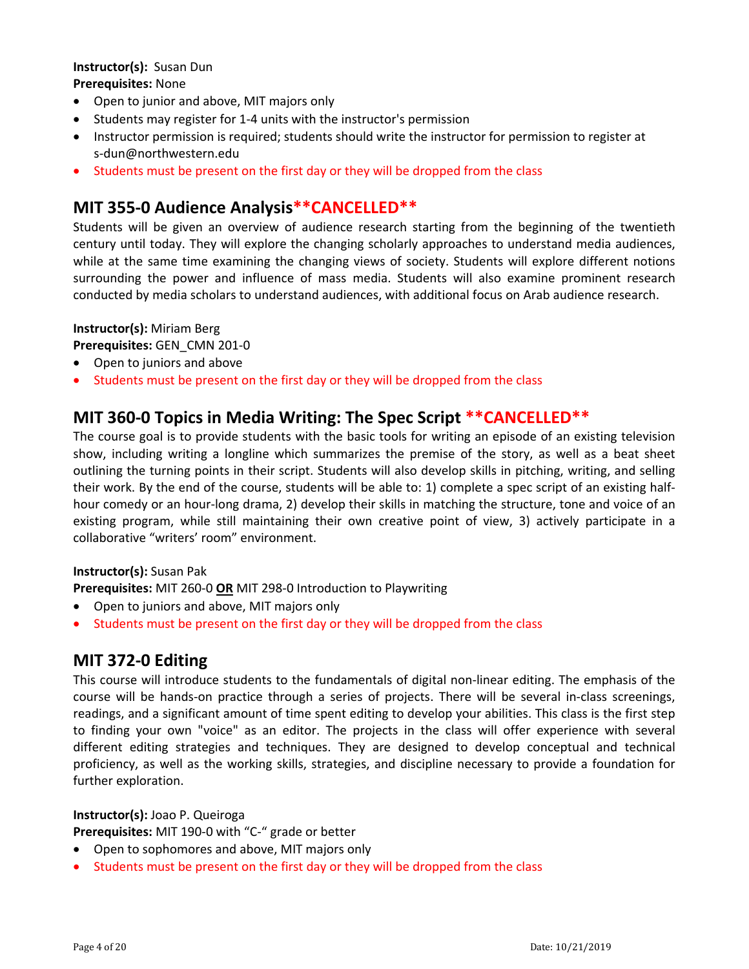#### **Instructor(s):** Susan Dun **Prerequisites:** None

- Open to junior and above, MIT majors only
- Students may register for 1-4 units with the instructor's permission
- Instructor permission is required; students should write the instructor for permission to register at s‐dun@northwestern.edu
- Students must be present on the first day or they will be dropped from the class

## **MIT 355‐0 Audience Analysis\*\*CANCELLED\*\***

Students will be given an overview of audience research starting from the beginning of the twentieth century until today. They will explore the changing scholarly approaches to understand media audiences, while at the same time examining the changing views of society. Students will explore different notions surrounding the power and influence of mass media. Students will also examine prominent research conducted by media scholars to understand audiences, with additional focus on Arab audience research.

#### **Instructor(s):** Miriam Berg

**Prerequisites:** GEN\_CMN 201‐0

- Open to juniors and above
- Students must be present on the first day or they will be dropped from the class

### **MIT 360‐0 Topics in Media Writing: The Spec Script \*\*CANCELLED\*\***

The course goal is to provide students with the basic tools for writing an episode of an existing television show, including writing a longline which summarizes the premise of the story, as well as a beat sheet outlining the turning points in their script. Students will also develop skills in pitching, writing, and selling their work. By the end of the course, students will be able to: 1) complete a spec script of an existing half‐ hour comedy or an hour-long drama, 2) develop their skills in matching the structure, tone and voice of an existing program, while still maintaining their own creative point of view, 3) actively participate in a collaborative "writers' room" environment.

#### **Instructor(s):** Susan Pak

**Prerequisites:** MIT 260‐0 **OR** MIT 298‐0 Introduction to Playwriting

- Open to juniors and above, MIT majors only
- Students must be present on the first day or they will be dropped from the class

## **MIT 372‐0 Editing**

This course will introduce students to the fundamentals of digital non‐linear editing. The emphasis of the course will be hands-on practice through a series of projects. There will be several in-class screenings, readings, and a significant amount of time spent editing to develop your abilities. This class is the first step to finding your own "voice" as an editor. The projects in the class will offer experience with several different editing strategies and techniques. They are designed to develop conceptual and technical proficiency, as well as the working skills, strategies, and discipline necessary to provide a foundation for further exploration.

#### **Instructor(s):** Joao P. Queiroga

**Prerequisites:** MIT 190‐0 with "C‐" grade or better

- Open to sophomores and above, MIT majors only
- Students must be present on the first day or they will be dropped from the class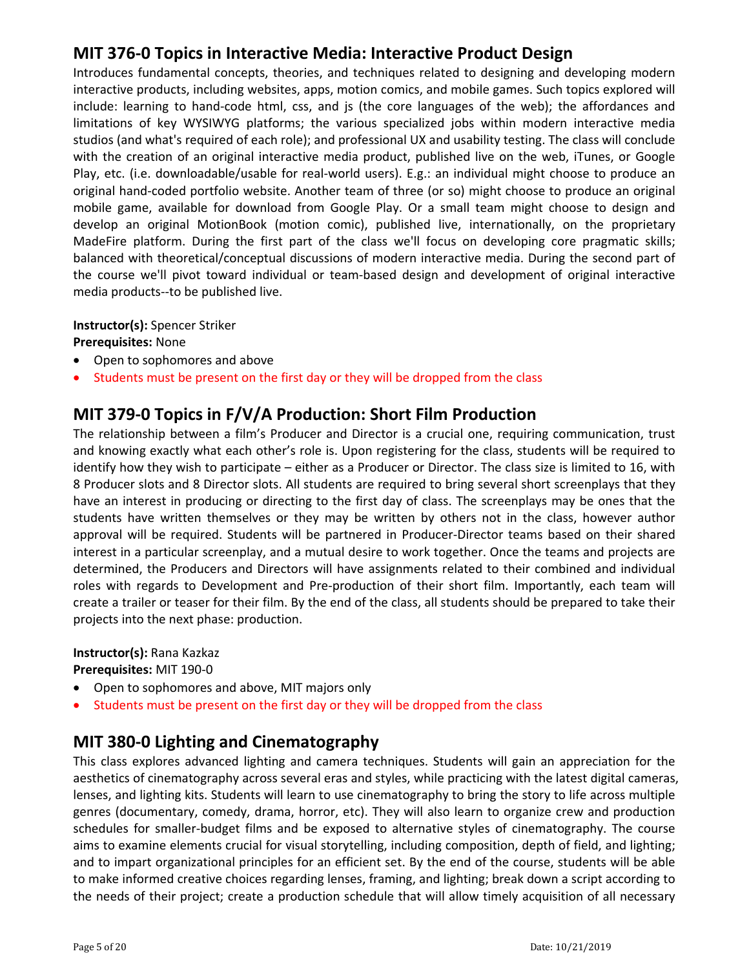## **MIT 376‐0 Topics in Interactive Media: Interactive Product Design**

Introduces fundamental concepts, theories, and techniques related to designing and developing modern interactive products, including websites, apps, motion comics, and mobile games. Such topics explored will include: learning to hand-code html, css, and is (the core languages of the web); the affordances and limitations of key WYSIWYG platforms; the various specialized jobs within modern interactive media studios (and what's required of each role); and professional UX and usability testing. The class will conclude with the creation of an original interactive media product, published live on the web, iTunes, or Google Play, etc. (i.e. downloadable/usable for real‐world users). E.g.: an individual might choose to produce an original hand‐coded portfolio website. Another team of three (or so) might choose to produce an original mobile game, available for download from Google Play. Or a small team might choose to design and develop an original MotionBook (motion comic), published live, internationally, on the proprietary MadeFire platform. During the first part of the class we'll focus on developing core pragmatic skills; balanced with theoretical/conceptual discussions of modern interactive media. During the second part of the course we'll pivot toward individual or team‐based design and development of original interactive media products‐‐to be published live.

#### **Instructor(s):** Spencer Striker

**Prerequisites:** None

- Open to sophomores and above
- Students must be present on the first day or they will be dropped from the class

## **MIT 379‐0 Topics in F/V/A Production: Short Film Production**

The relationship between a film's Producer and Director is a crucial one, requiring communication, trust and knowing exactly what each other's role is. Upon registering for the class, students will be required to identify how they wish to participate – either as a Producer or Director. The class size is limited to 16, with 8 Producer slots and 8 Director slots. All students are required to bring several short screenplays that they have an interest in producing or directing to the first day of class. The screenplays may be ones that the students have written themselves or they may be written by others not in the class, however author approval will be required. Students will be partnered in Producer‐Director teams based on their shared interest in a particular screenplay, and a mutual desire to work together. Once the teams and projects are determined, the Producers and Directors will have assignments related to their combined and individual roles with regards to Development and Pre-production of their short film. Importantly, each team will create a trailer or teaser for their film. By the end of the class, all students should be prepared to take their projects into the next phase: production.

#### **Instructor(s):** Rana Kazkaz

**Prerequisites:** MIT 190‐0

- Open to sophomores and above, MIT majors only
- Students must be present on the first day or they will be dropped from the class

## **MIT 380‐0 Lighting and Cinematography**

This class explores advanced lighting and camera techniques. Students will gain an appreciation for the aesthetics of cinematography across several eras and styles, while practicing with the latest digital cameras, lenses, and lighting kits. Students will learn to use cinematography to bring the story to life across multiple genres (documentary, comedy, drama, horror, etc). They will also learn to organize crew and production schedules for smaller-budget films and be exposed to alternative styles of cinematography. The course aims to examine elements crucial for visual storytelling, including composition, depth of field, and lighting; and to impart organizational principles for an efficient set. By the end of the course, students will be able to make informed creative choices regarding lenses, framing, and lighting; break down a script according to the needs of their project; create a production schedule that will allow timely acquisition of all necessary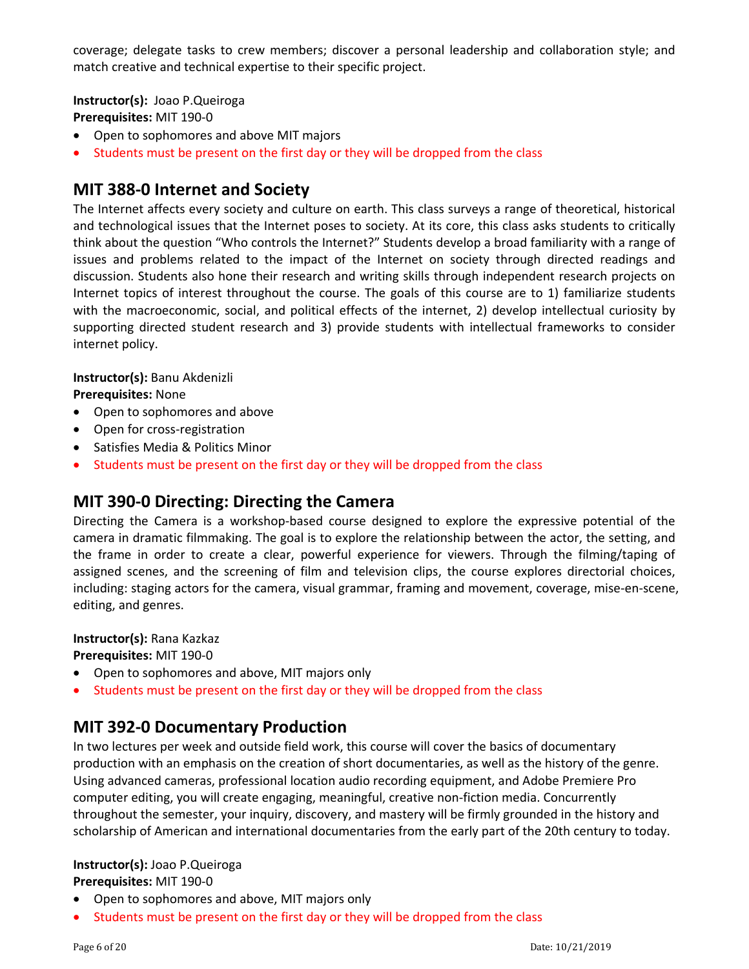coverage; delegate tasks to crew members; discover a personal leadership and collaboration style; and match creative and technical expertise to their specific project.

**Instructor(s):** Joao P.Queiroga **Prerequisites:** MIT 190‐0

- Open to sophomores and above MIT majors
- Students must be present on the first day or they will be dropped from the class

## **MIT 388‐0 Internet and Society**

The Internet affects every society and culture on earth. This class surveys a range of theoretical, historical and technological issues that the Internet poses to society. At its core, this class asks students to critically think about the question "Who controls the Internet?" Students develop a broad familiarity with a range of issues and problems related to the impact of the Internet on society through directed readings and discussion. Students also hone their research and writing skills through independent research projects on Internet topics of interest throughout the course. The goals of this course are to 1) familiarize students with the macroeconomic, social, and political effects of the internet, 2) develop intellectual curiosity by supporting directed student research and 3) provide students with intellectual frameworks to consider internet policy.

#### **Instructor(s):** Banu Akdenizli

**Prerequisites:** None

- Open to sophomores and above
- Open for cross-registration
- Satisfies Media & Politics Minor
- Students must be present on the first day or they will be dropped from the class

### **MIT 390‐0 Directing: Directing the Camera**

Directing the Camera is a workshop-based course designed to explore the expressive potential of the camera in dramatic filmmaking. The goal is to explore the relationship between the actor, the setting, and the frame in order to create a clear, powerful experience for viewers. Through the filming/taping of assigned scenes, and the screening of film and television clips, the course explores directorial choices, including: staging actors for the camera, visual grammar, framing and movement, coverage, mise-en-scene, editing, and genres.

#### **Instructor(s):** Rana Kazkaz

**Prerequisites:** MIT 190‐0

- Open to sophomores and above, MIT majors only
- Students must be present on the first day or they will be dropped from the class

## **MIT 392‐0 Documentary Production**

In two lectures per week and outside field work, this course will cover the basics of documentary production with an emphasis on the creation of short documentaries, as well as the history of the genre. Using advanced cameras, professional location audio recording equipment, and Adobe Premiere Pro computer editing, you will create engaging, meaningful, creative non‐fiction media. Concurrently throughout the semester, your inquiry, discovery, and mastery will be firmly grounded in the history and scholarship of American and international documentaries from the early part of the 20th century to today.

#### **Instructor(s):** Joao P.Queiroga **Prerequisites:** MIT 190‐0

- Open to sophomores and above, MIT majors only
- Students must be present on the first day or they will be dropped from the class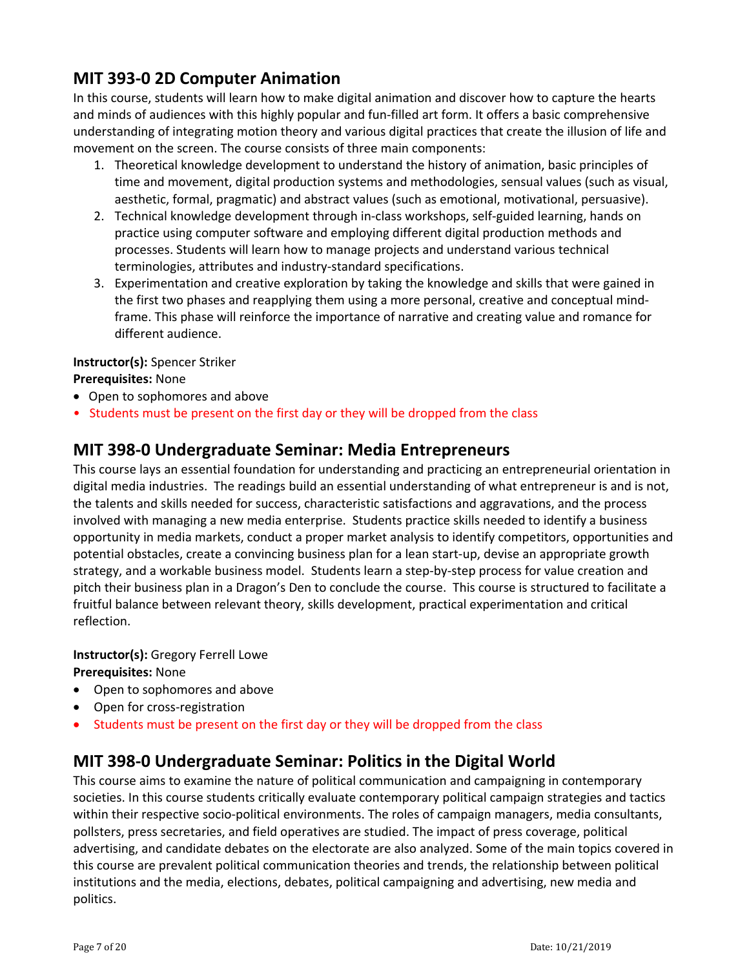## **MIT 393‐0 2D Computer Animation**

In this course, students will learn how to make digital animation and discover how to capture the hearts and minds of audiences with this highly popular and fun-filled art form. It offers a basic comprehensive understanding of integrating motion theory and various digital practices that create the illusion of life and movement on the screen. The course consists of three main components:

- 1. Theoretical knowledge development to understand the history of animation, basic principles of time and movement, digital production systems and methodologies, sensual values (such as visual, aesthetic, formal, pragmatic) and abstract values (such as emotional, motivational, persuasive).
- 2. Technical knowledge development through in-class workshops, self-guided learning, hands on practice using computer software and employing different digital production methods and processes. Students will learn how to manage projects and understand various technical terminologies, attributes and industry‐standard specifications.
- 3. Experimentation and creative exploration by taking the knowledge and skills that were gained in the first two phases and reapplying them using a more personal, creative and conceptual mind‐ frame. This phase will reinforce the importance of narrative and creating value and romance for different audience.

#### **Instructor(s):** Spencer Striker

#### **Prerequisites:** None

- Open to sophomores and above
- Students must be present on the first day or they will be dropped from the class

## **MIT 398‐0 Undergraduate Seminar: Media Entrepreneurs**

This course lays an essential foundation for understanding and practicing an entrepreneurial orientation in digital media industries. The readings build an essential understanding of what entrepreneur is and is not, the talents and skills needed for success, characteristic satisfactions and aggravations, and the process involved with managing a new media enterprise. Students practice skills needed to identify a business opportunity in media markets, conduct a proper market analysis to identify competitors, opportunities and potential obstacles, create a convincing business plan for a lean start‐up, devise an appropriate growth strategy, and a workable business model. Students learn a step‐by‐step process for value creation and pitch their business plan in a Dragon's Den to conclude the course. This course is structured to facilitate a fruitful balance between relevant theory, skills development, practical experimentation and critical reflection.

#### **Instructor(s):** Gregory Ferrell Lowe **Prerequisites:** None

- Open to sophomores and above
- Open for cross-registration
- Students must be present on the first day or they will be dropped from the class

## **MIT 398‐0 Undergraduate Seminar: Politics in the Digital World**

This course aims to examine the nature of political communication and campaigning in contemporary societies. In this course students critically evaluate contemporary political campaign strategies and tactics within their respective socio‐political environments. The roles of campaign managers, media consultants, pollsters, press secretaries, and field operatives are studied. The impact of press coverage, political advertising, and candidate debates on the electorate are also analyzed. Some of the main topics covered in this course are prevalent political communication theories and trends, the relationship between political institutions and the media, elections, debates, political campaigning and advertising, new media and politics.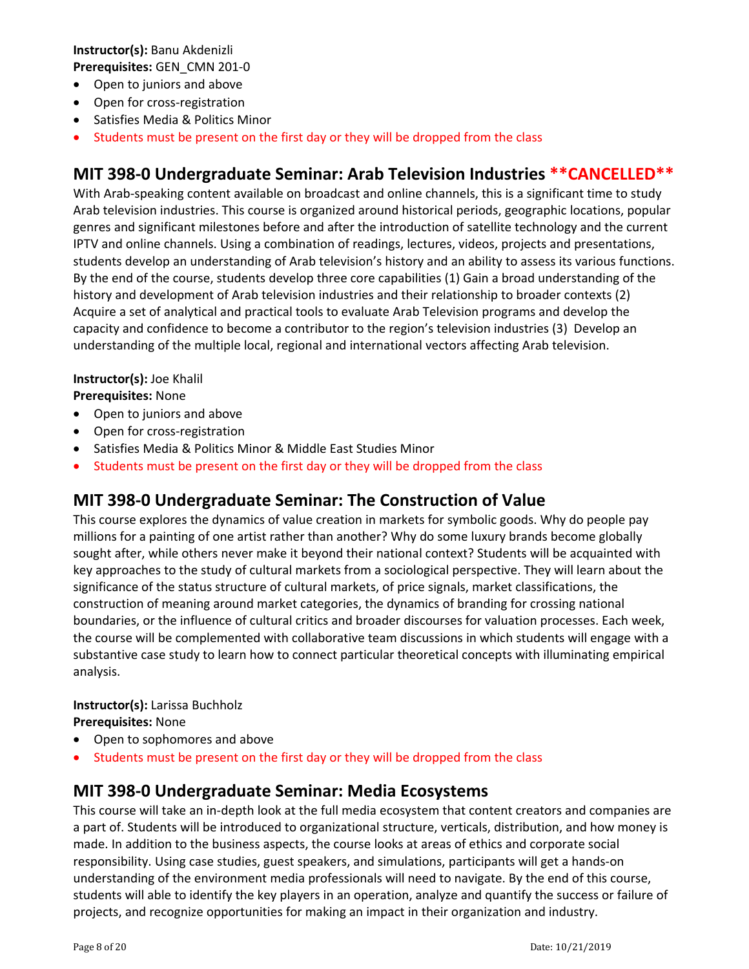**Instructor(s):** Banu Akdenizli **Prerequisites:** GEN\_CMN 201‐0

- Open to juniors and above
- Open for cross-registration
- Satisfies Media & Politics Minor
- Students must be present on the first day or they will be dropped from the class

## **MIT 398‐0 Undergraduate Seminar: Arab Television Industries \*\*CANCELLED\*\***

With Arab-speaking content available on broadcast and online channels, this is a significant time to study Arab television industries. This course is organized around historical periods, geographic locations, popular genres and significant milestones before and after the introduction of satellite technology and the current IPTV and online channels. Using a combination of readings, lectures, videos, projects and presentations, students develop an understanding of Arab television's history and an ability to assess its various functions. By the end of the course, students develop three core capabilities (1) Gain a broad understanding of the history and development of Arab television industries and their relationship to broader contexts (2) Acquire a set of analytical and practical tools to evaluate Arab Television programs and develop the capacity and confidence to become a contributor to the region's television industries (3) Develop an understanding of the multiple local, regional and international vectors affecting Arab television.

#### **Instructor(s):** Joe Khalil **Prerequisites:** None

- Open to juniors and above
- Open for cross-registration
- Satisfies Media & Politics Minor & Middle East Studies Minor
- Students must be present on the first day or they will be dropped from the class

### **MIT 398‐0 Undergraduate Seminar: The Construction of Value**

This course explores the dynamics of value creation in markets for symbolic goods. Why do people pay millions for a painting of one artist rather than another? Why do some luxury brands become globally sought after, while others never make it beyond their national context? Students will be acquainted with key approaches to the study of cultural markets from a sociological perspective. They will learn about the significance of the status structure of cultural markets, of price signals, market classifications, the construction of meaning around market categories, the dynamics of branding for crossing national boundaries, or the influence of cultural critics and broader discourses for valuation processes. Each week, the course will be complemented with collaborative team discussions in which students will engage with a substantive case study to learn how to connect particular theoretical concepts with illuminating empirical analysis.

#### **Instructor(s):** Larissa Buchholz **Prerequisites:** None

- Open to sophomores and above
- Students must be present on the first day or they will be dropped from the class

#### **MIT 398‐0 Undergraduate Seminar: Media Ecosystems**

This course will take an in‐depth look at the full media ecosystem that content creators and companies are a part of. Students will be introduced to organizational structure, verticals, distribution, and how money is made. In addition to the business aspects, the course looks at areas of ethics and corporate social responsibility. Using case studies, guest speakers, and simulations, participants will get a hands‐on understanding of the environment media professionals will need to navigate. By the end of this course, students will able to identify the key players in an operation, analyze and quantify the success or failure of projects, and recognize opportunities for making an impact in their organization and industry.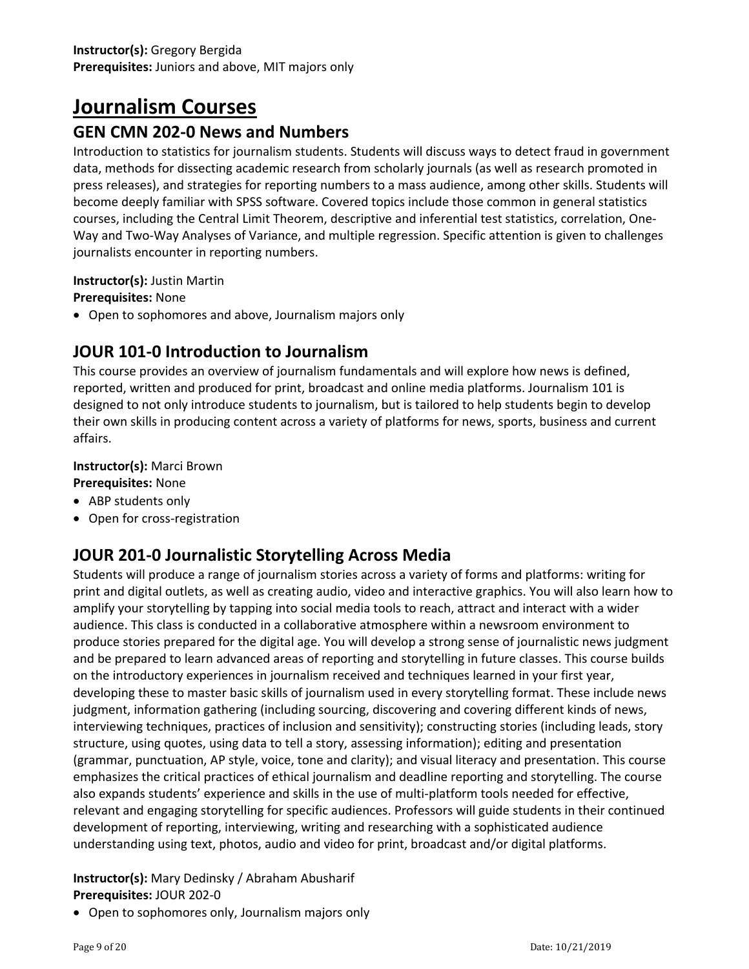# **Journalism Courses**

## **GEN CMN 202‐0 News and Numbers**

Introduction to statistics for journalism students. Students will discuss ways to detect fraud in government data, methods for dissecting academic research from scholarly journals (as well as research promoted in press releases), and strategies for reporting numbers to a mass audience, among other skills. Students will become deeply familiar with SPSS software. Covered topics include those common in general statistics courses, including the Central Limit Theorem, descriptive and inferential test statistics, correlation, One‐ Way and Two‐Way Analyses of Variance, and multiple regression. Specific attention is given to challenges journalists encounter in reporting numbers.

#### **Instructor(s):** Justin Martin

**Prerequisites:** None

Open to sophomores and above, Journalism majors only

## **JOUR 101‐0 Introduction to Journalism**

This course provides an overview of journalism fundamentals and will explore how news is defined, reported, written and produced for print, broadcast and online media platforms. Journalism 101 is designed to not only introduce students to journalism, but is tailored to help students begin to develop their own skills in producing content across a variety of platforms for news, sports, business and current affairs.

### **Instructor(s):** Marci Brown

- **Prerequisites:** None
- ABP students only
- Open for cross-registration

## **JOUR 201‐0 Journalistic Storytelling Across Media**

Students will produce a range of journalism stories across a variety of forms and platforms: writing for print and digital outlets, as well as creating audio, video and interactive graphics. You will also learn how to amplify your storytelling by tapping into social media tools to reach, attract and interact with a wider audience. This class is conducted in a collaborative atmosphere within a newsroom environment to produce stories prepared for the digital age. You will develop a strong sense of journalistic news judgment and be prepared to learn advanced areas of reporting and storytelling in future classes. This course builds on the introductory experiences in journalism received and techniques learned in your first year, developing these to master basic skills of journalism used in every storytelling format. These include news judgment, information gathering (including sourcing, discovering and covering different kinds of news, interviewing techniques, practices of inclusion and sensitivity); constructing stories (including leads, story structure, using quotes, using data to tell a story, assessing information); editing and presentation (grammar, punctuation, AP style, voice, tone and clarity); and visual literacy and presentation. This course emphasizes the critical practices of ethical journalism and deadline reporting and storytelling. The course also expands students' experience and skills in the use of multi‐platform tools needed for effective, relevant and engaging storytelling for specific audiences. Professors will guide students in their continued development of reporting, interviewing, writing and researching with a sophisticated audience understanding using text, photos, audio and video for print, broadcast and/or digital platforms.

#### **Instructor(s):** Mary Dedinsky / Abraham Abusharif **Prerequisites:** JOUR 202‐0

Open to sophomores only, Journalism majors only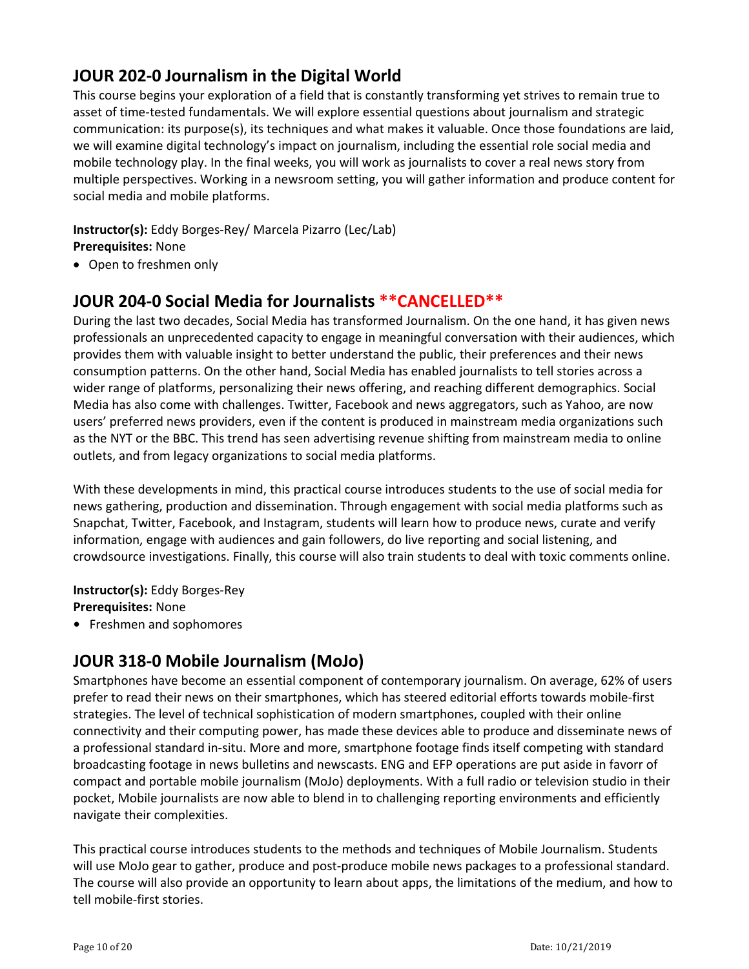## **JOUR 202‐0 Journalism in the Digital World**

This course begins your exploration of a field that is constantly transforming yet strives to remain true to asset of time‐tested fundamentals. We will explore essential questions about journalism and strategic communication: its purpose(s), its techniques and what makes it valuable. Once those foundations are laid, we will examine digital technology's impact on journalism, including the essential role social media and mobile technology play. In the final weeks, you will work as journalists to cover a real news story from multiple perspectives. Working in a newsroom setting, you will gather information and produce content for social media and mobile platforms.

### **Instructor(s):** Eddy Borges‐Rey/ Marcela Pizarro (Lec/Lab)

**Prerequisites:** None

Open to freshmen only

## **JOUR 204‐0 Social Media for Journalists \*\*CANCELLED\*\***

During the last two decades, Social Media has transformed Journalism. On the one hand, it has given news professionals an unprecedented capacity to engage in meaningful conversation with their audiences, which provides them with valuable insight to better understand the public, their preferences and their news consumption patterns. On the other hand, Social Media has enabled journalists to tell stories across a wider range of platforms, personalizing their news offering, and reaching different demographics. Social Media has also come with challenges. Twitter, Facebook and news aggregators, such as Yahoo, are now users' preferred news providers, even if the content is produced in mainstream media organizations such as the NYT or the BBC. This trend has seen advertising revenue shifting from mainstream media to online outlets, and from legacy organizations to social media platforms.

With these developments in mind, this practical course introduces students to the use of social media for news gathering, production and dissemination. Through engagement with social media platforms such as Snapchat, Twitter, Facebook, and Instagram, students will learn how to produce news, curate and verify information, engage with audiences and gain followers, do live reporting and social listening, and crowdsource investigations. Finally, this course will also train students to deal with toxic comments online.

**Instructor(s):** Eddy Borges‐Rey

**Prerequisites:** None

**•** Freshmen and sophomores

## **JOUR 318‐0 Mobile Journalism (MoJo)**

Smartphones have become an essential component of contemporary journalism. On average, 62% of users prefer to read their news on their smartphones, which has steered editorial efforts towards mobile‐first strategies. The level of technical sophistication of modern smartphones, coupled with their online connectivity and their computing power, has made these devices able to produce and disseminate news of a professional standard in‐situ. More and more, smartphone footage finds itself competing with standard broadcasting footage in news bulletins and newscasts. ENG and EFP operations are put aside in favorr of compact and portable mobile journalism (MoJo) deployments. With a full radio or television studio in their pocket, Mobile journalists are now able to blend in to challenging reporting environments and efficiently navigate their complexities.

This practical course introduces students to the methods and techniques of Mobile Journalism. Students will use MoJo gear to gather, produce and post-produce mobile news packages to a professional standard. The course will also provide an opportunity to learn about apps, the limitations of the medium, and how to tell mobile‐first stories.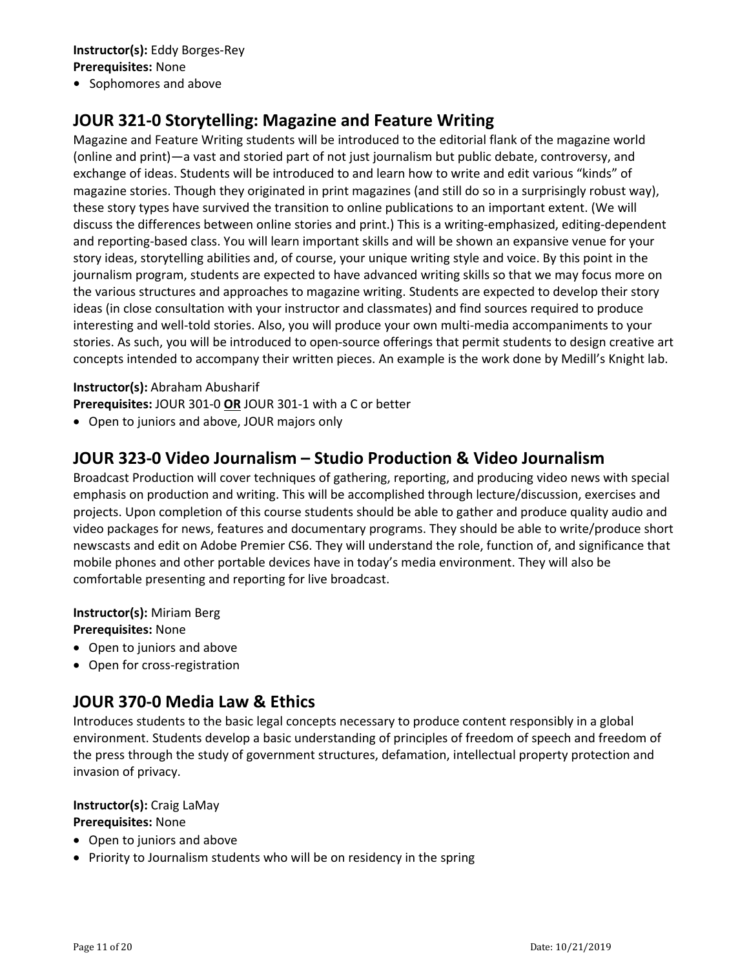#### **Instructor(s):** Eddy Borges‐Rey **Prerequisites:** None

• Sophomores and above

## **JOUR 321‐0 Storytelling: Magazine and Feature Writing**

Magazine and Feature Writing students will be introduced to the editorial flank of the magazine world (online and print)—a vast and storied part of not just journalism but public debate, controversy, and exchange of ideas. Students will be introduced to and learn how to write and edit various "kinds" of magazine stories. Though they originated in print magazines (and still do so in a surprisingly robust way), these story types have survived the transition to online publications to an important extent. (We will discuss the differences between online stories and print.) This is a writing-emphasized, editing-dependent and reporting‐based class. You will learn important skills and will be shown an expansive venue for your story ideas, storytelling abilities and, of course, your unique writing style and voice. By this point in the journalism program, students are expected to have advanced writing skills so that we may focus more on the various structures and approaches to magazine writing. Students are expected to develop their story ideas (in close consultation with your instructor and classmates) and find sources required to produce interesting and well‐told stories. Also, you will produce your own multi‐media accompaniments to your stories. As such, you will be introduced to open‐source offerings that permit students to design creative art concepts intended to accompany their written pieces. An example is the work done by Medill's Knight lab.

#### **Instructor(s):** Abraham Abusharif

**Prerequisites:** JOUR 301‐0 **OR** JOUR 301‐1 with a C or better

Open to juniors and above, JOUR majors only

## **JOUR 323‐0 Video Journalism – Studio Production & Video Journalism**

Broadcast Production will cover techniques of gathering, reporting, and producing video news with special emphasis on production and writing. This will be accomplished through lecture/discussion, exercises and projects. Upon completion of this course students should be able to gather and produce quality audio and video packages for news, features and documentary programs. They should be able to write/produce short newscasts and edit on Adobe Premier CS6. They will understand the role, function of, and significance that mobile phones and other portable devices have in today's media environment. They will also be comfortable presenting and reporting for live broadcast.

**Instructor(s):** Miriam Berg **Prerequisites:** None

- Open to juniors and above
- Open for cross-registration

## **JOUR 370‐0 Media Law & Ethics**

Introduces students to the basic legal concepts necessary to produce content responsibly in a global environment. Students develop a basic understanding of principles of freedom of speech and freedom of the press through the study of government structures, defamation, intellectual property protection and invasion of privacy.

#### **Instructor(s):** Craig LaMay **Prerequisites:** None

- Open to juniors and above
- Priority to Journalism students who will be on residency in the spring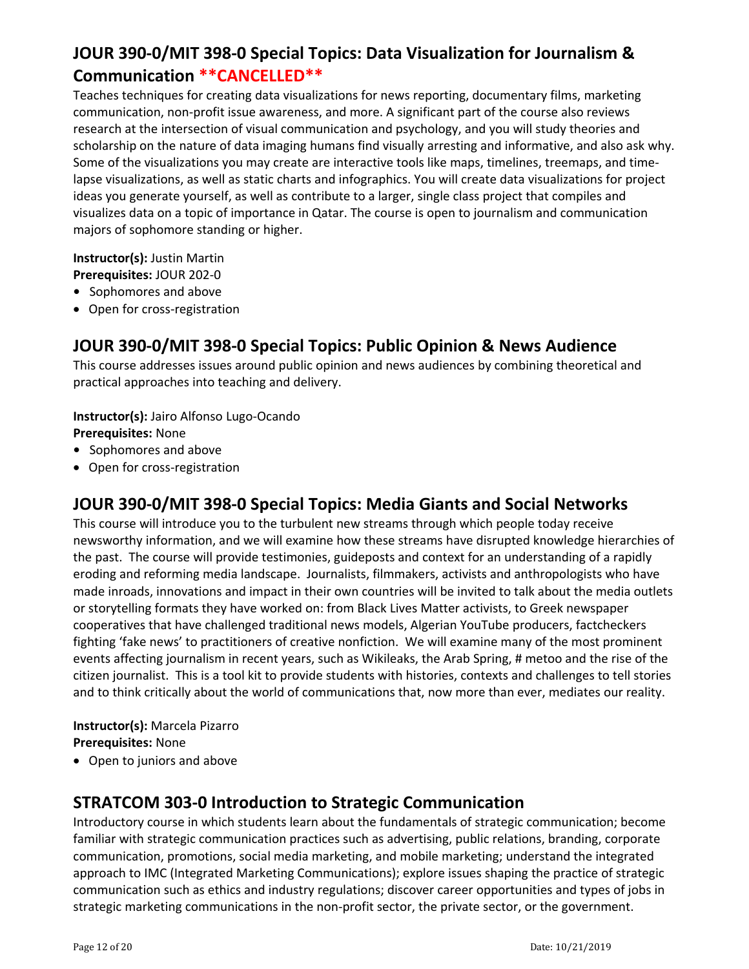## **JOUR 390‐0/MIT 398‐0 Special Topics: Data Visualization for Journalism & Communication \*\*CANCELLED\*\***

Teaches techniques for creating data visualizations for news reporting, documentary films, marketing communication, non‐profit issue awareness, and more. A significant part of the course also reviews research at the intersection of visual communication and psychology, and you will study theories and scholarship on the nature of data imaging humans find visually arresting and informative, and also ask why. Some of the visualizations you may create are interactive tools like maps, timelines, treemaps, and time‐ lapse visualizations, as well as static charts and infographics. You will create data visualizations for project ideas you generate yourself, as well as contribute to a larger, single class project that compiles and visualizes data on a topic of importance in Qatar. The course is open to journalism and communication majors of sophomore standing or higher.

**Instructor(s):** Justin Martin **Prerequisites:** JOUR 202‐0

- Sophomores and above
- Open for cross-registration

## **JOUR 390‐0/MIT 398‐0 Special Topics: Public Opinion & News Audience**

This course addresses issues around public opinion and news audiences by combining theoretical and practical approaches into teaching and delivery.

**Instructor(s):** Jairo Alfonso Lugo‐Ocando

**Prerequisites:** None

- Sophomores and above
- Open for cross-registration

## **JOUR 390‐0/MIT 398‐0 Special Topics: Media Giants and Social Networks**

This course will introduce you to the turbulent new streams through which people today receive newsworthy information, and we will examine how these streams have disrupted knowledge hierarchies of the past. The course will provide testimonies, guideposts and context for an understanding of a rapidly eroding and reforming media landscape. Journalists, filmmakers, activists and anthropologists who have made inroads, innovations and impact in their own countries will be invited to talk about the media outlets or storytelling formats they have worked on: from Black Lives Matter activists, to Greek newspaper cooperatives that have challenged traditional news models, Algerian YouTube producers, factcheckers fighting 'fake news' to practitioners of creative nonfiction. We will examine many of the most prominent events affecting journalism in recent years, such as Wikileaks, the Arab Spring, # metoo and the rise of the citizen journalist. This is a tool kit to provide students with histories, contexts and challenges to tell stories and to think critically about the world of communications that, now more than ever, mediates our reality.

#### **Instructor(s):** Marcela Pizarro **Prerequisites:** None

Open to juniors and above

## **STRATCOM 303‐0 Introduction to Strategic Communication**

Introductory course in which students learn about the fundamentals of strategic communication; become familiar with strategic communication practices such as advertising, public relations, branding, corporate communication, promotions, social media marketing, and mobile marketing; understand the integrated approach to IMC (Integrated Marketing Communications); explore issues shaping the practice of strategic communication such as ethics and industry regulations; discover career opportunities and types of jobs in strategic marketing communications in the non‐profit sector, the private sector, or the government.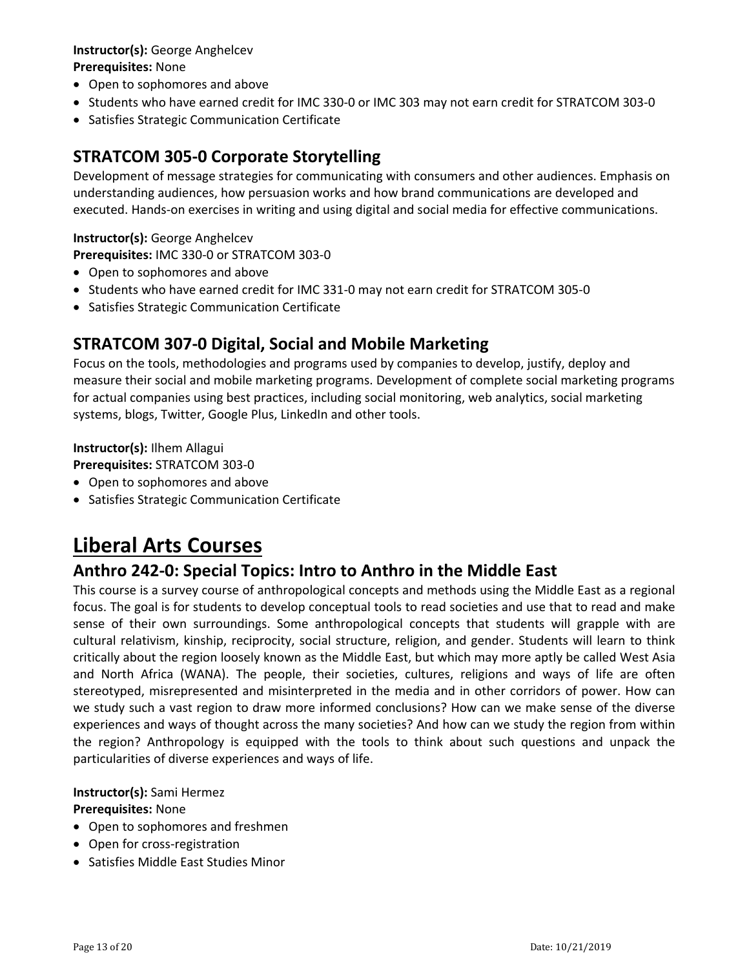#### **Instructor(s):** George Anghelcev

#### **Prerequisites:** None

- Open to sophomores and above
- Students who have earned credit for IMC 330-0 or IMC 303 may not earn credit for STRATCOM 303-0
- Satisfies Strategic Communication Certificate

## **STRATCOM 305‐0 Corporate Storytelling**

Development of message strategies for communicating with consumers and other audiences. Emphasis on understanding audiences, how persuasion works and how brand communications are developed and executed. Hands‐on exercises in writing and using digital and social media for effective communications.

#### **Instructor(s):** George Anghelcev

**Prerequisites:** IMC 330‐0 or STRATCOM 303‐0

- Open to sophomores and above
- Students who have earned credit for IMC 331-0 may not earn credit for STRATCOM 305-0
- Satisfies Strategic Communication Certificate

## **STRATCOM 307‐0 Digital, Social and Mobile Marketing**

Focus on the tools, methodologies and programs used by companies to develop, justify, deploy and measure their social and mobile marketing programs. Development of complete social marketing programs for actual companies using best practices, including social monitoring, web analytics, social marketing systems, blogs, Twitter, Google Plus, LinkedIn and other tools.

**Instructor(s):** Ilhem Allagui **Prerequisites:** STRATCOM 303‐0

- Open to sophomores and above
- Satisfies Strategic Communication Certificate

# **Liberal Arts Courses**

## **Anthro 242‐0: Special Topics: Intro to Anthro in the Middle East**

This course is a survey course of anthropological concepts and methods using the Middle East as a regional focus. The goal is for students to develop conceptual tools to read societies and use that to read and make sense of their own surroundings. Some anthropological concepts that students will grapple with are cultural relativism, kinship, reciprocity, social structure, religion, and gender. Students will learn to think critically about the region loosely known as the Middle East, but which may more aptly be called West Asia and North Africa (WANA). The people, their societies, cultures, religions and ways of life are often stereotyped, misrepresented and misinterpreted in the media and in other corridors of power. How can we study such a vast region to draw more informed conclusions? How can we make sense of the diverse experiences and ways of thought across the many societies? And how can we study the region from within the region? Anthropology is equipped with the tools to think about such questions and unpack the particularities of diverse experiences and ways of life.

#### **Instructor(s):** Sami Hermez

#### **Prerequisites:** None

- Open to sophomores and freshmen
- Open for cross-registration
- Satisfies Middle East Studies Minor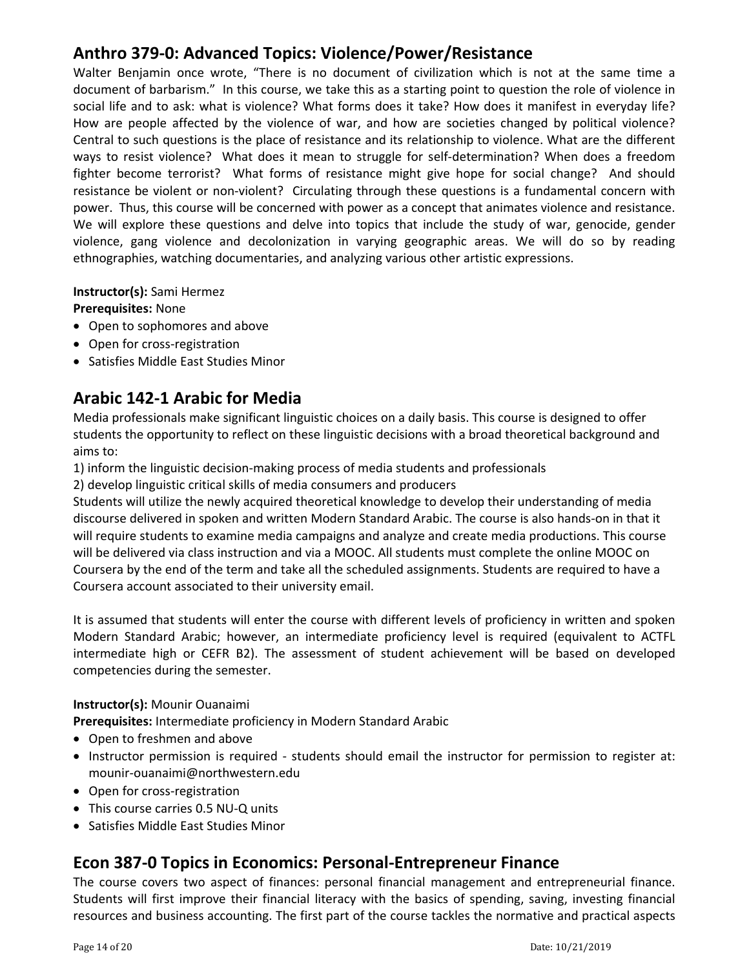## **Anthro 379‐0: Advanced Topics: Violence/Power/Resistance**

Walter Benjamin once wrote, "There is no document of civilization which is not at the same time a document of barbarism." In this course, we take this as a starting point to question the role of violence in social life and to ask: what is violence? What forms does it take? How does it manifest in everyday life? How are people affected by the violence of war, and how are societies changed by political violence? Central to such questions is the place of resistance and its relationship to violence. What are the different ways to resist violence? What does it mean to struggle for self-determination? When does a freedom fighter become terrorist? What forms of resistance might give hope for social change? And should resistance be violent or non-violent? Circulating through these questions is a fundamental concern with power. Thus, this course will be concerned with power as a concept that animates violence and resistance. We will explore these questions and delve into topics that include the study of war, genocide, gender violence, gang violence and decolonization in varying geographic areas. We will do so by reading ethnographies, watching documentaries, and analyzing various other artistic expressions.

**Instructor(s):** Sami Hermez

**Prerequisites:** None

- Open to sophomores and above
- Open for cross-registration
- Satisfies Middle East Studies Minor

## **Arabic 142‐1 Arabic for Media**

Media professionals make significant linguistic choices on a daily basis. This course is designed to offer students the opportunity to reflect on these linguistic decisions with a broad theoretical background and aims to:

- 1) inform the linguistic decision‐making process of media students and professionals
- 2) develop linguistic critical skills of media consumers and producers

Students will utilize the newly acquired theoretical knowledge to develop their understanding of media discourse delivered in spoken and written Modern Standard Arabic. The course is also hands‐on in that it will require students to examine media campaigns and analyze and create media productions. This course will be delivered via class instruction and via a MOOC. All students must complete the online MOOC on Coursera by the end of the term and take all the scheduled assignments. Students are required to have a Coursera account associated to their university email.

It is assumed that students will enter the course with different levels of proficiency in written and spoken Modern Standard Arabic; however, an intermediate proficiency level is required (equivalent to ACTFL intermediate high or CEFR B2). The assessment of student achievement will be based on developed competencies during the semester.

#### **Instructor(s):** Mounir Ouanaimi

**Prerequisites:** Intermediate proficiency in Modern Standard Arabic

- Open to freshmen and above
- Instructor permission is required students should email the instructor for permission to register at: mounir‐ouanaimi@northwestern.edu
- Open for cross-registration
- This course carries 0.5 NU-Q units
- Satisfies Middle East Studies Minor

## **Econ 387‐0 Topics in Economics: Personal‐Entrepreneur Finance**

The course covers two aspect of finances: personal financial management and entrepreneurial finance. Students will first improve their financial literacy with the basics of spending, saving, investing financial resources and business accounting. The first part of the course tackles the normative and practical aspects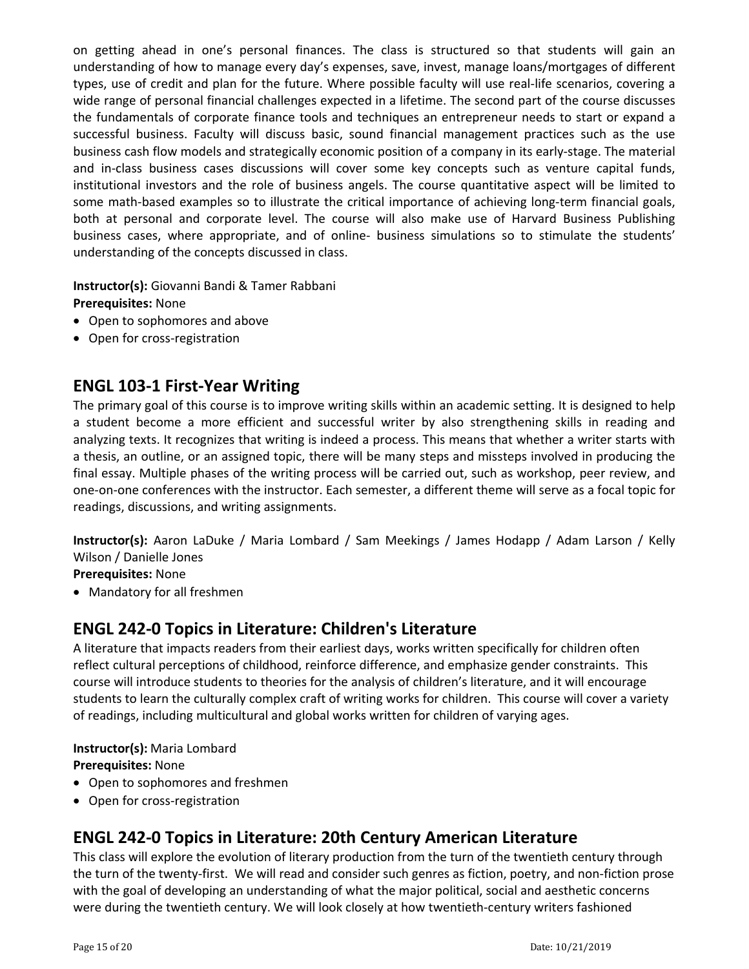on getting ahead in one's personal finances. The class is structured so that students will gain an understanding of how to manage every day's expenses, save, invest, manage loans/mortgages of different types, use of credit and plan for the future. Where possible faculty will use real‐life scenarios, covering a wide range of personal financial challenges expected in a lifetime. The second part of the course discusses the fundamentals of corporate finance tools and techniques an entrepreneur needs to start or expand a successful business. Faculty will discuss basic, sound financial management practices such as the use business cash flow models and strategically economic position of a company in its early‐stage. The material and in-class business cases discussions will cover some key concepts such as venture capital funds, institutional investors and the role of business angels. The course quantitative aspect will be limited to some math-based examples so to illustrate the critical importance of achieving long-term financial goals, both at personal and corporate level. The course will also make use of Harvard Business Publishing business cases, where appropriate, and of online‐ business simulations so to stimulate the students' understanding of the concepts discussed in class.

**Instructor(s):** Giovanni Bandi & Tamer Rabbani **Prerequisites:** None

- Open to sophomores and above
- Open for cross-registration

### **ENGL 103‐1 First‐Year Writing**

The primary goal of this course is to improve writing skills within an academic setting. It is designed to help a student become a more efficient and successful writer by also strengthening skills in reading and analyzing texts. It recognizes that writing is indeed a process. This means that whether a writer starts with a thesis, an outline, or an assigned topic, there will be many steps and missteps involved in producing the final essay. Multiple phases of the writing process will be carried out, such as workshop, peer review, and one‐on‐one conferences with the instructor. Each semester, a different theme will serve as a focal topic for readings, discussions, and writing assignments.

**Instructor(s):** Aaron LaDuke / Maria Lombard / Sam Meekings / James Hodapp / Adam Larson / Kelly Wilson / Danielle Jones

**Prerequisites:** None

Mandatory for all freshmen

### **ENGL 242‐0 Topics in Literature: Children's Literature**

A literature that impacts readers from their earliest days, works written specifically for children often reflect cultural perceptions of childhood, reinforce difference, and emphasize gender constraints. This course will introduce students to theories for the analysis of children's literature, and it will encourage students to learn the culturally complex craft of writing works for children. This course will cover a variety of readings, including multicultural and global works written for children of varying ages.

**Instructor(s):** Maria Lombard

**Prerequisites:** None

- Open to sophomores and freshmen
- Open for cross-registration

## **ENGL 242‐0 Topics in Literature: 20th Century American Literature**

This class will explore the evolution of literary production from the turn of the twentieth century through the turn of the twenty‐first. We will read and consider such genres as fiction, poetry, and non‐fiction prose with the goal of developing an understanding of what the major political, social and aesthetic concerns were during the twentieth century. We will look closely at how twentieth‐century writers fashioned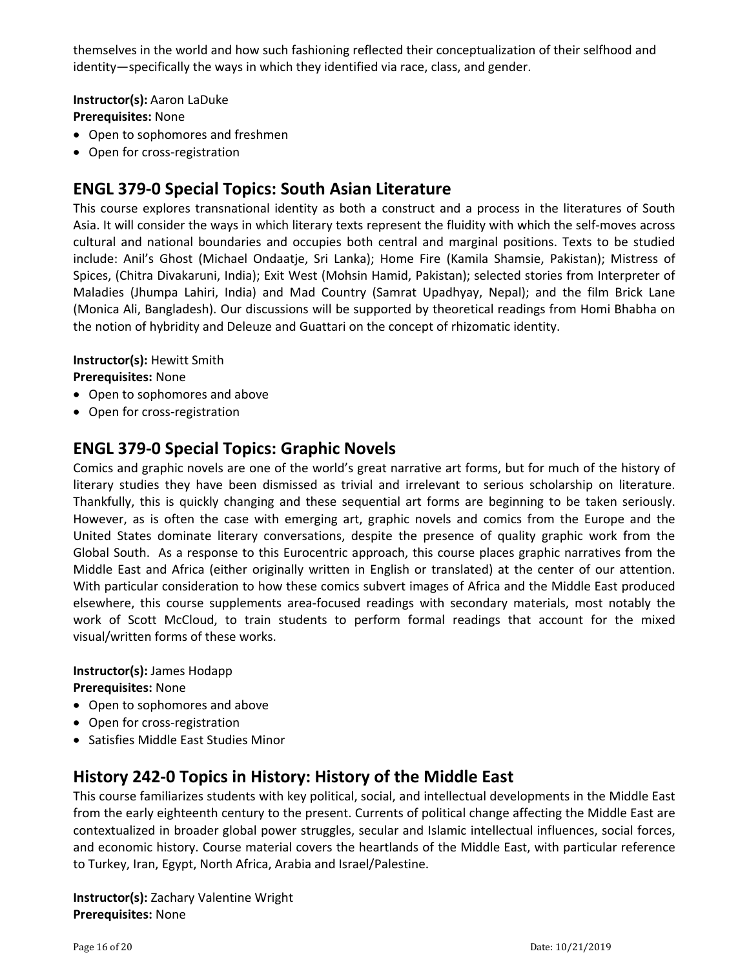themselves in the world and how such fashioning reflected their conceptualization of their selfhood and identity—specifically the ways in which they identified via race, class, and gender.

**Instructor(s):** Aaron LaDuke

**Prerequisites:** None

- Open to sophomores and freshmen
- Open for cross-registration

## **ENGL 379‐0 Special Topics: South Asian Literature**

This course explores transnational identity as both a construct and a process in the literatures of South Asia. It will consider the ways in which literary texts represent the fluidity with which the self‐moves across cultural and national boundaries and occupies both central and marginal positions. Texts to be studied include: Anil's Ghost (Michael Ondaatje, Sri Lanka); Home Fire (Kamila Shamsie, Pakistan); Mistress of Spices, (Chitra Divakaruni, India); Exit West (Mohsin Hamid, Pakistan); selected stories from Interpreter of Maladies (Jhumpa Lahiri, India) and Mad Country (Samrat Upadhyay, Nepal); and the film Brick Lane (Monica Ali, Bangladesh). Our discussions will be supported by theoretical readings from Homi Bhabha on the notion of hybridity and Deleuze and Guattari on the concept of rhizomatic identity.

**Instructor(s):** Hewitt Smith

**Prerequisites:** None

- Open to sophomores and above
- Open for cross-registration

## **ENGL 379‐0 Special Topics: Graphic Novels**

Comics and graphic novels are one of the world's great narrative art forms, but for much of the history of literary studies they have been dismissed as trivial and irrelevant to serious scholarship on literature. Thankfully, this is quickly changing and these sequential art forms are beginning to be taken seriously. However, as is often the case with emerging art, graphic novels and comics from the Europe and the United States dominate literary conversations, despite the presence of quality graphic work from the Global South. As a response to this Eurocentric approach, this course places graphic narratives from the Middle East and Africa (either originally written in English or translated) at the center of our attention. With particular consideration to how these comics subvert images of Africa and the Middle East produced elsewhere, this course supplements area‐focused readings with secondary materials, most notably the work of Scott McCloud, to train students to perform formal readings that account for the mixed visual/written forms of these works.

**Instructor(s):** James Hodapp **Prerequisites:** None

- Open to sophomores and above
- Open for cross-registration
- Satisfies Middle East Studies Minor

## **History 242‐0 Topics in History: History of the Middle East**

This course familiarizes students with key political, social, and intellectual developments in the Middle East from the early eighteenth century to the present. Currents of political change affecting the Middle East are contextualized in broader global power struggles, secular and Islamic intellectual influences, social forces, and economic history. Course material covers the heartlands of the Middle East, with particular reference to Turkey, Iran, Egypt, North Africa, Arabia and Israel/Palestine.

**Instructor(s):** Zachary Valentine Wright **Prerequisites:** None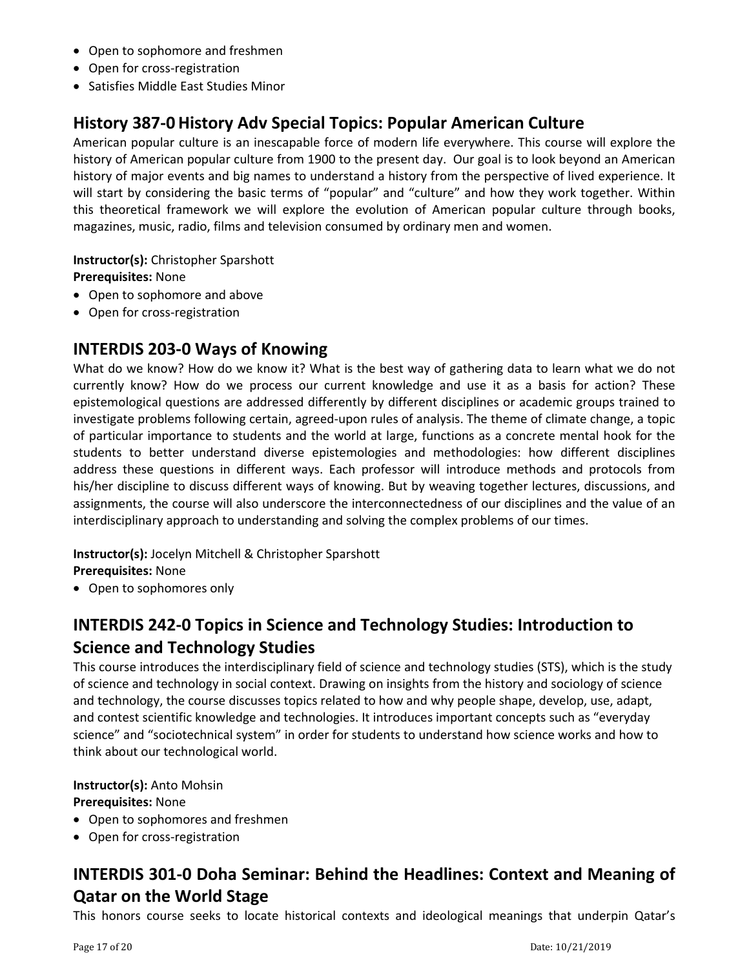- Open to sophomore and freshmen
- Open for cross-registration
- Satisfies Middle East Studies Minor

## **History 387‐0 History Adv Special Topics: Popular American Culture**

American popular culture is an inescapable force of modern life everywhere. This course will explore the history of American popular culture from 1900 to the present day. Our goal is to look beyond an American history of major events and big names to understand a history from the perspective of lived experience. It will start by considering the basic terms of "popular" and "culture" and how they work together. Within this theoretical framework we will explore the evolution of American popular culture through books, magazines, music, radio, films and television consumed by ordinary men and women.

**Instructor(s):** Christopher Sparshott **Prerequisites:** None

- Open to sophomore and above
- Open for cross-registration

### **INTERDIS 203‐0 Ways of Knowing**

What do we know? How do we know it? What is the best way of gathering data to learn what we do not currently know? How do we process our current knowledge and use it as a basis for action? These epistemological questions are addressed differently by different disciplines or academic groups trained to investigate problems following certain, agreed‐upon rules of analysis. The theme of climate change, a topic of particular importance to students and the world at large, functions as a concrete mental hook for the students to better understand diverse epistemologies and methodologies: how different disciplines address these questions in different ways. Each professor will introduce methods and protocols from his/her discipline to discuss different ways of knowing. But by weaving together lectures, discussions, and assignments, the course will also underscore the interconnectedness of our disciplines and the value of an interdisciplinary approach to understanding and solving the complex problems of our times.

**Instructor(s):** Jocelyn Mitchell & Christopher Sparshott **Prerequisites:** None

• Open to sophomores only

## **INTERDIS 242‐0 Topics in Science and Technology Studies: Introduction to Science and Technology Studies**

This course introduces the interdisciplinary field of science and technology studies (STS), which is the study of science and technology in social context. Drawing on insights from the history and sociology of science and technology, the course discusses topics related to how and why people shape, develop, use, adapt, and contest scientific knowledge and technologies. It introduces important concepts such as "everyday science" and "sociotechnical system" in order for students to understand how science works and how to think about our technological world.

**Instructor(s):** Anto Mohsin **Prerequisites:** None

- Open to sophomores and freshmen
- Open for cross-registration

## **INTERDIS 301‐0 Doha Seminar: Behind the Headlines: Context and Meaning of Qatar on the World Stage**

This honors course seeks to locate historical contexts and ideological meanings that underpin Qatar's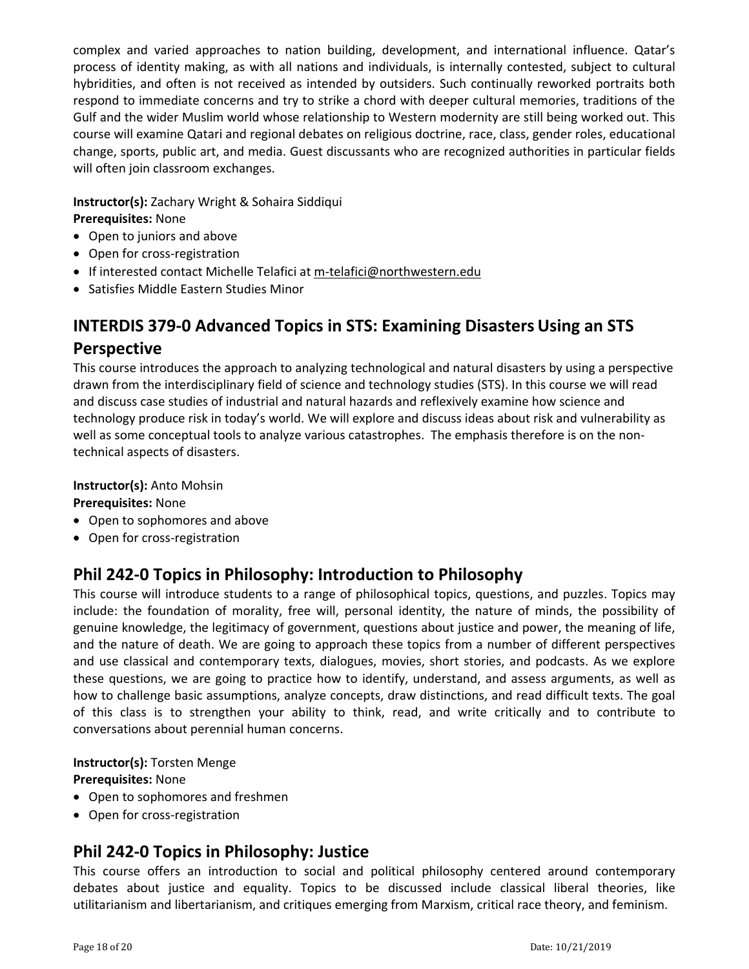complex and varied approaches to nation building, development, and international influence. Qatar's process of identity making, as with all nations and individuals, is internally contested, subject to cultural hybridities, and often is not received as intended by outsiders. Such continually reworked portraits both respond to immediate concerns and try to strike a chord with deeper cultural memories, traditions of the Gulf and the wider Muslim world whose relationship to Western modernity are still being worked out. This course will examine Qatari and regional debates on religious doctrine, race, class, gender roles, educational change, sports, public art, and media. Guest discussants who are recognized authorities in particular fields will often join classroom exchanges.

**Instructor(s):** Zachary Wright & Sohaira Siddiqui **Prerequisites:** None

- Open to juniors and above
- Open for cross-registration
- If interested contact Michelle Telafici at m-telafici@northwestern.edu
- Satisfies Middle Eastern Studies Minor

## **INTERDIS 379‐0 Advanced Topics in STS: Examining Disasters Using an STS Perspective**

This course introduces the approach to analyzing technological and natural disasters by using a perspective drawn from the interdisciplinary field of science and technology studies (STS). In this course we will read and discuss case studies of industrial and natural hazards and reflexively examine how science and technology produce risk in today's world. We will explore and discuss ideas about risk and vulnerability as well as some conceptual tools to analyze various catastrophes. The emphasis therefore is on the nontechnical aspects of disasters.

#### **Instructor(s):** Anto Mohsin

**Prerequisites:** None

- Open to sophomores and above
- Open for cross-registration

## **Phil 242‐0 Topics in Philosophy: Introduction to Philosophy**

This course will introduce students to a range of philosophical topics, questions, and puzzles. Topics may include: the foundation of morality, free will, personal identity, the nature of minds, the possibility of genuine knowledge, the legitimacy of government, questions about justice and power, the meaning of life, and the nature of death. We are going to approach these topics from a number of different perspectives and use classical and contemporary texts, dialogues, movies, short stories, and podcasts. As we explore these questions, we are going to practice how to identify, understand, and assess arguments, as well as how to challenge basic assumptions, analyze concepts, draw distinctions, and read difficult texts. The goal of this class is to strengthen your ability to think, read, and write critically and to contribute to conversations about perennial human concerns.

### **Instructor(s):** Torsten Menge

**Prerequisites:** None

- Open to sophomores and freshmen
- Open for cross-registration

## **Phil 242‐0 Topics in Philosophy: Justice**

This course offers an introduction to social and political philosophy centered around contemporary debates about justice and equality. Topics to be discussed include classical liberal theories, like utilitarianism and libertarianism, and critiques emerging from Marxism, critical race theory, and feminism.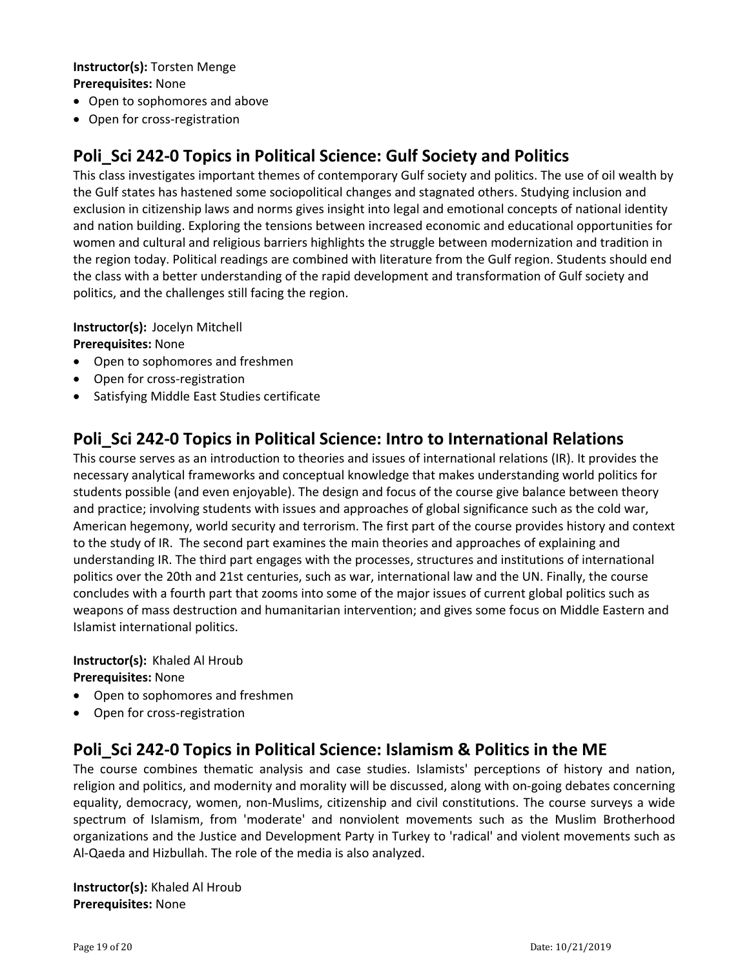#### **Instructor(s):** Torsten Menge **Prerequisites:** None

- Open to sophomores and above
- Open for cross-registration

## **Poli\_Sci 242‐0 Topics in Political Science: Gulf Society and Politics**

This class investigates important themes of contemporary Gulf society and politics. The use of oil wealth by the Gulf states has hastened some sociopolitical changes and stagnated others. Studying inclusion and exclusion in citizenship laws and norms gives insight into legal and emotional concepts of national identity and nation building. Exploring the tensions between increased economic and educational opportunities for women and cultural and religious barriers highlights the struggle between modernization and tradition in the region today. Political readings are combined with literature from the Gulf region. Students should end the class with a better understanding of the rapid development and transformation of Gulf society and politics, and the challenges still facing the region.

**Instructor(s): Jocelyn Mitchell** 

**Prerequisites:** None

- Open to sophomores and freshmen
- Open for cross-registration
- Satisfying Middle East Studies certificate

### **Poli\_Sci 242‐0 Topics in Political Science: Intro to International Relations**

This course serves as an introduction to theories and issues of international relations (IR). It provides the necessary analytical frameworks and conceptual knowledge that makes understanding world politics for students possible (and even enjoyable). The design and focus of the course give balance between theory and practice; involving students with issues and approaches of global significance such as the cold war, American hegemony, world security and terrorism. The first part of the course provides history and context to the study of IR. The second part examines the main theories and approaches of explaining and understanding IR. The third part engages with the processes, structures and institutions of international politics over the 20th and 21st centuries, such as war, international law and the UN. Finally, the course concludes with a fourth part that zooms into some of the major issues of current global politics such as weapons of mass destruction and humanitarian intervention; and gives some focus on Middle Eastern and Islamist international politics.

**Instructor(s): Khaled Al Hroub Prerequisites:** None

- Open to sophomores and freshmen
- Open for cross-registration

### **Poli\_Sci 242‐0 Topics in Political Science: Islamism & Politics in the ME**

The course combines thematic analysis and case studies. Islamists' perceptions of history and nation, religion and politics, and modernity and morality will be discussed, along with on‐going debates concerning equality, democracy, women, non‐Muslims, citizenship and civil constitutions. The course surveys a wide spectrum of Islamism, from 'moderate' and nonviolent movements such as the Muslim Brotherhood organizations and the Justice and Development Party in Turkey to 'radical' and violent movements such as Al‐Qaeda and Hizbullah. The role of the media is also analyzed.

**Instructor(s):** Khaled Al Hroub **Prerequisites:** None